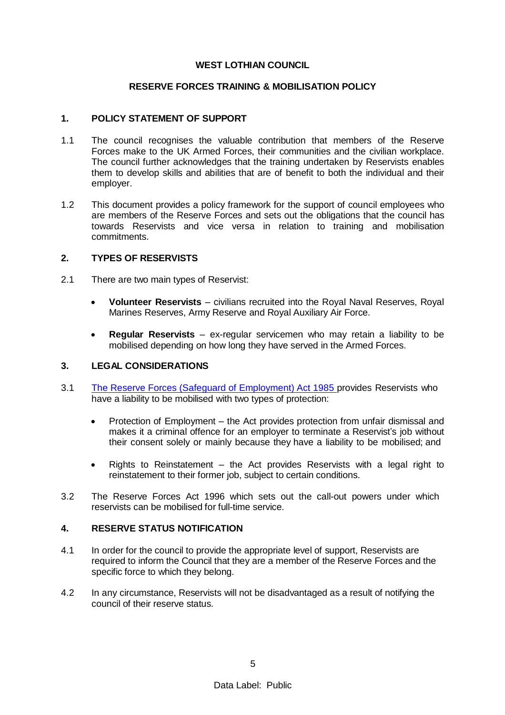#### **WEST LOTHIAN COUNCIL**

### **RESERVE FORCES TRAINING & MOBILISATION POLICY**

#### **1. POLICY STATEMENT OF SUPPORT**

- 1.1 The council recognises the valuable contribution that members of the Reserve Forces make to the UK Armed Forces, their communities and the civilian workplace. The council further acknowledges that the training undertaken by Reservists enables them to develop skills and abilities that are of benefit to both the individual and their employer.
- 1.2 This document provides a policy framework for the support of council employees who are members of the Reserve Forces and sets out the obligations that the council has towards Reservists and vice versa in relation to training and mobilisation commitments.

#### **2. TYPES OF RESERVISTS**

- 2.1 There are two main types of Reservist:
	- **Volunteer Reservists** civilians recruited into the Royal Naval Reserves, Royal Marines Reserves, Army Reserve and Royal Auxiliary Air Force.
	- **Regular Reservists** ex-regular servicemen who may retain a liability to be mobilised depending on how long they have served in the Armed Forces.

#### **3. LEGAL CONSIDERATIONS**

- 3.1 [The Reserve Forces \(Safeguard of Employment\) Act 1985 p](http://www.legislation.gov.uk/ukpga/1985/17)rovides Reservists who have a liability to be mobilised with two types of protection:
	- Protection of Employment the Act provides protection from unfair dismissal and makes it a criminal offence for an employer to terminate a Reservist's job without their consent solely or mainly because they have a liability to be mobilised; and
	- Rights to Reinstatement  $-$  the Act provides Reservists with a legal right to reinstatement to their former job, subject to certain conditions.
- 3.2 The Reserve Forces Act 1996 which sets out the call-out powers under which reservists can be mobilised for full-time service.

#### **4. RESERVE STATUS NOTIFICATION**

- 4.1 In order for the council to provide the appropriate level of support, Reservists are required to inform the Council that they are a member of the Reserve Forces and the specific force to which they belong.
- 4.2 In any circumstance, Reservists will not be disadvantaged as a result of notifying the council of their reserve status.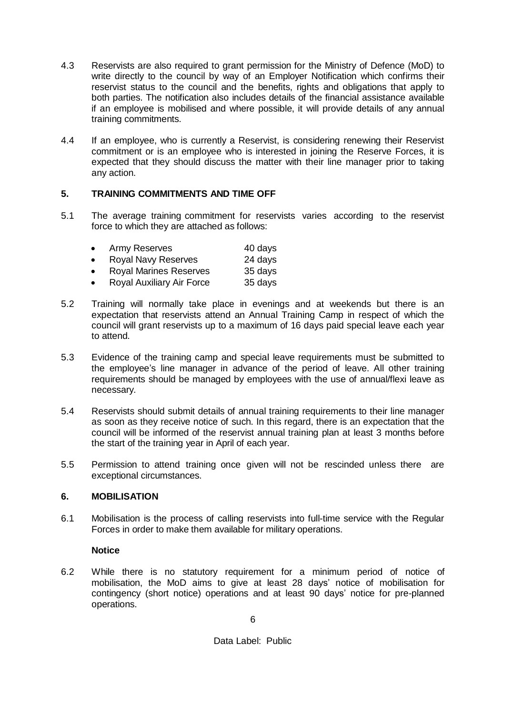- 4.3 Reservists are also required to grant permission for the Ministry of Defence (MoD) to write directly to the council by way of an Employer Notification which confirms their reservist status to the council and the benefits, rights and obligations that apply to both parties. The notification also includes details of the financial assistance available if an employee is mobilised and where possible, it will provide details of any annual training commitments.
- 4.4 If an employee, who is currently a Reservist, is considering renewing their Reservist commitment or is an employee who is interested in joining the Reserve Forces, it is expected that they should discuss the matter with their line manager prior to taking any action.

# **5. TRAINING COMMITMENTS AND TIME OFF**

5.1 The average training commitment for reservists varies according to the reservist force to which they are attached as follows:

| $\bullet$ | Army Reserves                 | 40 days |
|-----------|-------------------------------|---------|
| $\bullet$ | Royal Navy Reserves           | 24 days |
| $\bullet$ | <b>Royal Marines Reserves</b> | 35 days |
| $\bullet$ | Royal Auxiliary Air Force     | 35 days |
|           |                               |         |

- 5.2 Training will normally take place in evenings and at weekends but there is an expectation that reservists attend an Annual Training Camp in respect of which the council will grant reservists up to a maximum of 16 days paid special leave each year to attend.
- 5.3 Evidence of the training camp and special leave requirements must be submitted to the employee's line manager in advance of the period of leave. All other training requirements should be managed by employees with the use of annual/flexi leave as necessary.
- 5.4 Reservists should submit details of annual training requirements to their line manager as soon as they receive notice of such. In this regard, there is an expectation that the council will be informed of the reservist annual training plan at least 3 months before the start of the training year in April of each year.
- 5.5 Permission to attend training once given will not be rescinded unless there are exceptional circumstances.

## **6. MOBILISATION**

6.1 Mobilisation is the process of calling reservists into full-time service with the Regular Forces in order to make them available for military operations.

## **Notice**

6.2 While there is no statutory requirement for a minimum period of notice of mobilisation, the MoD aims to give at least 28 days' notice of mobilisation for contingency (short notice) operations and at least 90 days' notice for pre-planned operations.

Data Label: Public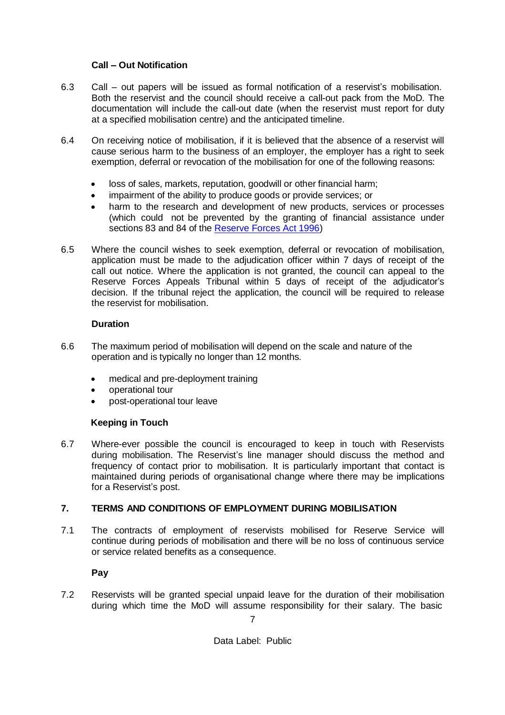# **Call – Out Notification**

- 6.3 Call out papers will be issued as formal notification of a reservist's mobilisation. Both the reservist and the council should receive a call-out pack from the MoD. The documentation will include the call-out date (when the reservist must report for duty at a specified mobilisation centre) and the anticipated timeline.
- 6.4 On receiving notice of mobilisation, if it is believed that the absence of a reservist will cause serious harm to the business of an employer, the employer has a right to seek exemption, deferral or revocation of the mobilisation for one of the following reasons:
	- loss of sales, markets, reputation, goodwill or other financial harm;
	- impairment of the ability to produce goods or provide services; or
	- harm to the research and development of new products, services or processes (which could not be prevented by the granting of financial assistance under sections 83 and 84 of the [Reserve Forces Act 1996\)](http://www.legislation.gov.uk/ukpga/1996/14/contents)
- 6.5 Where the council wishes to seek exemption, deferral or revocation of mobilisation, application must be made to the adjudication officer within 7 days of receipt of the call out notice. Where the application is not granted, the council can appeal to the Reserve Forces Appeals Tribunal within 5 days of receipt of the adjudicator's decision. If the tribunal reject the application, the council will be required to release the reservist for mobilisation.

## **Duration**

- 6.6 The maximum period of mobilisation will depend on the scale and nature of the operation and is typically no longer than 12 months.
	- medical and pre-deployment training
	- operational tour
	- post-operational tour leave

## **Keeping in Touch**

6.7 Where-ever possible the council is encouraged to keep in touch with Reservists during mobilisation. The Reservist's line manager should discuss the method and frequency of contact prior to mobilisation. It is particularly important that contact is maintained during periods of organisational change where there may be implications for a Reservist's post.

# **7. TERMS AND CONDITIONS OF EMPLOYMENT DURING MOBILISATION**

7.1 The contracts of employment of reservists mobilised for Reserve Service will continue during periods of mobilisation and there will be no loss of continuous service or service related benefits as a consequence.

**Pay**

7.2 Reservists will be granted special unpaid leave for the duration of their mobilisation during which time the MoD will assume responsibility for their salary. The basic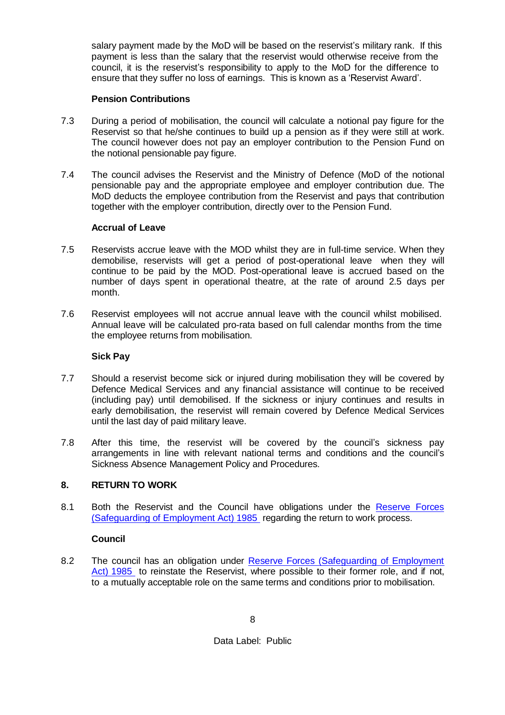salary payment made by the MoD will be based on the reservist's military rank. If this payment is less than the salary that the reservist would otherwise receive from the council, it is the reservist's responsibility to apply to the MoD for the difference to ensure that they suffer no loss of earnings. This is known as a 'Reservist Award'.

# **Pension Contributions**

- 7.3 During a period of mobilisation, the council will calculate a notional pay figure for the Reservist so that he/she continues to build up a pension as if they were still at work. The council however does not pay an employer contribution to the Pension Fund on the notional pensionable pay figure.
- 7.4 The council advises the Reservist and the Ministry of Defence (MoD of the notional pensionable pay and the appropriate employee and employer contribution due. The MoD deducts the employee contribution from the Reservist and pays that contribution together with the employer contribution, directly over to the Pension Fund.

## **Accrual of Leave**

- 7.5 Reservists accrue leave with the MOD whilst they are in full-time service. When they demobilise, reservists will get a period of post-operational leave when they will continue to be paid by the MOD. Post-operational leave is accrued based on the number of days spent in operational theatre, at the rate of around 2.5 days per month.
- 7.6 Reservist employees will not accrue annual leave with the council whilst mobilised. Annual leave will be calculated pro-rata based on full calendar months from the time the employee returns from mobilisation.

# **Sick Pay**

- 7.7 Should a reservist become sick or injured during mobilisation they will be covered by Defence Medical Services and any financial assistance will continue to be received (including pay) until demobilised. If the sickness or injury continues and results in early demobilisation, the reservist will remain covered by Defence Medical Services until the last day of paid military leave.
- 7.8 After this time, the reservist will be covered by the council's sickness pay arrangements in line with relevant national terms and conditions and the council's Sickness Absence Management Policy and Procedures.

# **8. RETURN TO WORK**

8.1 Both the Reservist and the Council have obligations under the [Reserve Forces](http://www.legislation.gov.uk/ukpga/1985/17)  [\(Safeguarding of Employment Act\) 1985](http://www.legislation.gov.uk/ukpga/1985/17) regarding the return to work process.

# **Council**

8.2 The council has an obligation under [Reserve Forces \(Safeguarding of Employment](http://www.legislation.gov.uk/ukpga/1985/17)  [Act\) 1985](http://www.legislation.gov.uk/ukpga/1985/17) to reinstate the Reservist, where possible to their former role, and if not, to a mutually acceptable role on the same terms and conditions prior to mobilisation.